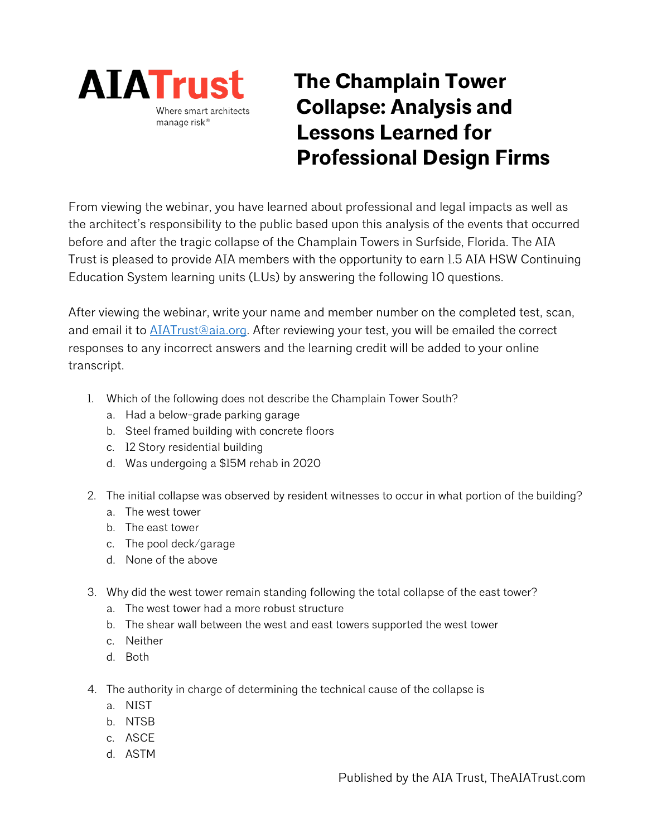

## **The Champlain Tower Collapse: Analysis and Lessons Learned for Professional Design Firms**

From viewing the webinar, you have learned about professional and legal impacts as well as the architect's responsibility to the public based upon this analysis of the events that occurred before and after the tragic collapse of the Champlain Towers in Surfside, Florida. The AIA Trust is pleased to provide AIA members with the opportunity to earn 1.5 AIA HSW Continuing Education System learning units (LUs) by answering the following 10 questions.

After viewing the webinar, write your name and member number on the completed test, scan, and email it to **AIATrust**@aia.org. After reviewing your test, you will be emailed the correct responses to any incorrect answers and the learning credit will be added to your online transcript.

- 1. Which of the following does not describe the Champlain Tower South?
	- a. Had a below-grade parking garage
	- b. Steel framed building with concrete floors
	- c. 12 Story residential building
	- d. Was undergoing a \$15M rehab in 2020
- 2. The initial collapse was observed by resident witnesses to occur in what portion of the building?
	- a. The west tower
	- b. The east tower
	- c. The pool deck/garage
	- d. None of the above
- 3. Why did the west tower remain standing following the total collapse of the east tower?
	- a. The west tower had a more robust structure
	- b. The shear wall between the west and east towers supported the west tower
	- c. Neither
	- d. Both
- 4. The authority in charge of determining the technical cause of the collapse is
	- a. NIST
	- b. NTSB
	- c. ASCE
	- d. ASTM